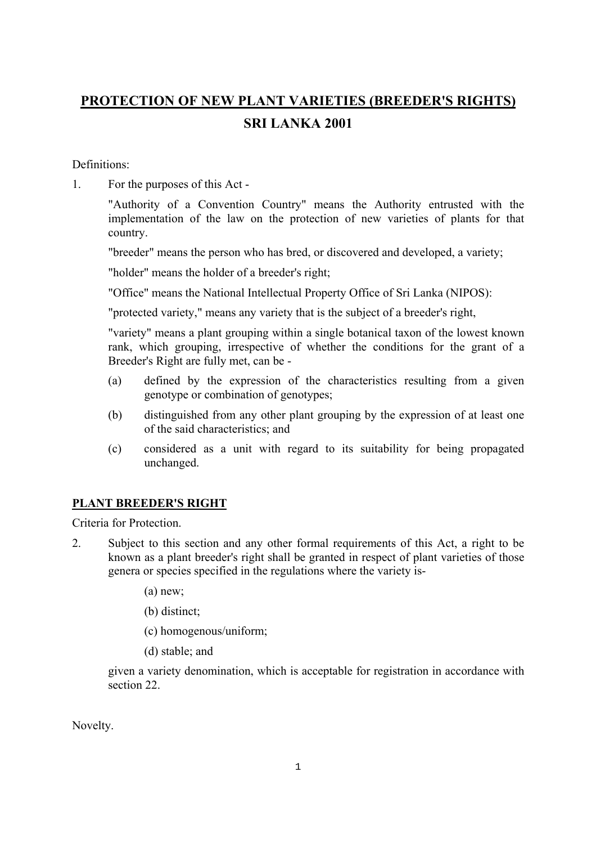# **PROTECTION OF NEW PLANT VARIETIES (BREEDER'S RIGHTS) SRI LANKA 2001**

Definitions:

1. For the purposes of this Act -

"Authority of a Convention Country" means the Authority entrusted with the implementation of the law on the protection of new varieties of plants for that country.

"breeder" means the person who has bred, or discovered and developed, a variety;

"holder" means the holder of a breeder's right;

"Office" means the National Intellectual Property Office of Sri Lanka (NIPOS):

"protected variety," means any variety that is the subject of a breeder's right,

"variety" means a plant grouping within a single botanical taxon of the lowest known rank, which grouping, irrespective of whether the conditions for the grant of a Breeder's Right are fully met, can be -

- (a) defined by the expression of the characteristics resulting from a given genotype or combination of genotypes;
- (b) distinguished from any other plant grouping by the expression of at least one of the said characteristics; and
- (c) considered as a unit with regard to its suitability for being propagated unchanged.

# **PLANT BREEDER'S RIGHT**

Criteria for Protection.

- 2. Subject to this section and any other formal requirements of this Act, a right to be known as a plant breeder's right shall be granted in respect of plant varieties of those genera or species specified in the regulations where the variety is-
	- (a) new;
	- (b) distinct;
	- (c) homogenous/uniform;
	- (d) stable; and

given a variety denomination, which is acceptable for registration in accordance with section 22.

Novelty.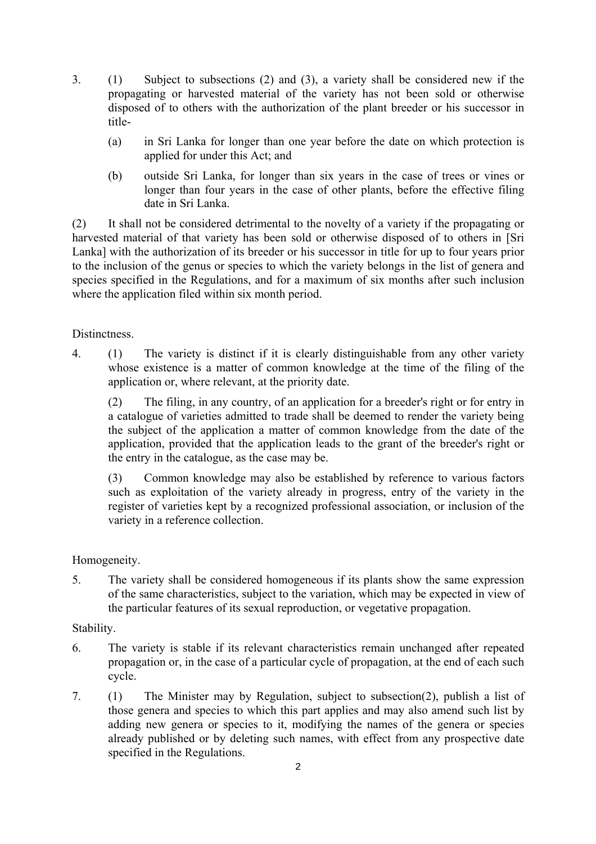- 3. (1) Subject to subsections (2) and (3), a variety shall be considered new if the propagating or harvested material of the variety has not been sold or otherwise disposed of to others with the authorization of the plant breeder or his successor in title-
	- (a) in Sri Lanka for longer than one year before the date on which protection is applied for under this Act; and
	- (b) outside Sri Lanka, for longer than six years in the case of trees or vines or longer than four years in the case of other plants, before the effective filing date in Sri Lanka.

(2) It shall not be considered detrimental to the novelty of a variety if the propagating or harvested material of that variety has been sold or otherwise disposed of to others in [Sri Lanka] with the authorization of its breeder or his successor in title for up to four years prior to the inclusion of the genus or species to which the variety belongs in the list of genera and species specified in the Regulations, and for a maximum of six months after such inclusion where the application filed within six month period.

#### **Distinctness**

4. (1) The variety is distinct if it is clearly distinguishable from any other variety whose existence is a matter of common knowledge at the time of the filing of the application or, where relevant, at the priority date.

(2) The filing, in any country, of an application for a breeder's right or for entry in a catalogue of varieties admitted to trade shall be deemed to render the variety being the subject of the application a matter of common knowledge from the date of the application, provided that the application leads to the grant of the breeder's right or the entry in the catalogue, as the case may be.

(3) Common knowledge may also be established by reference to various factors such as exploitation of the variety already in progress, entry of the variety in the register of varieties kept by a recognized professional association, or inclusion of the variety in a reference collection.

#### Homogeneity.

5. The variety shall be considered homogeneous if its plants show the same expression of the same characteristics, subject to the variation, which may be expected in view of the particular features of its sexual reproduction, or vegetative propagation.

#### Stability.

- 6. The variety is stable if its relevant characteristics remain unchanged after repeated propagation or, in the case of a particular cycle of propagation, at the end of each such cycle.
- 7. (1) The Minister may by Regulation, subject to subsection(2), publish a list of those genera and species to which this part applies and may also amend such list by adding new genera or species to it, modifying the names of the genera or species already published or by deleting such names, with effect from any prospective date specified in the Regulations.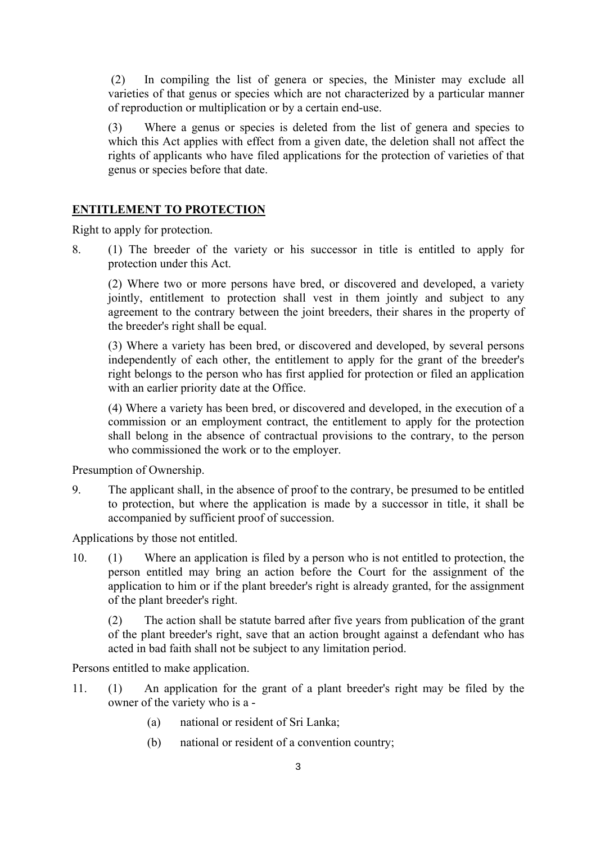(2) In compiling the list of genera or species, the Minister may exclude all varieties of that genus or species which are not characterized by a particular manner of reproduction or multiplication or by a certain end-use.

(3) Where a genus or species is deleted from the list of genera and species to which this Act applies with effect from a given date, the deletion shall not affect the rights of applicants who have filed applications for the protection of varieties of that genus or species before that date.

#### **ENTITLEMENT TO PROTECTION**

Right to apply for protection.

8. (1) The breeder of the variety or his successor in title is entitled to apply for protection under this Act.

(2) Where two or more persons have bred, or discovered and developed, a variety jointly, entitlement to protection shall vest in them jointly and subject to any agreement to the contrary between the joint breeders, their shares in the property of the breeder's right shall be equal.

(3) Where a variety has been bred, or discovered and developed, by several persons independently of each other, the entitlement to apply for the grant of the breeder's right belongs to the person who has first applied for protection or filed an application with an earlier priority date at the Office.

(4) Where a variety has been bred, or discovered and developed, in the execution of a commission or an employment contract, the entitlement to apply for the protection shall belong in the absence of contractual provisions to the contrary, to the person who commissioned the work or to the employer.

Presumption of Ownership.

9. The applicant shall, in the absence of proof to the contrary, be presumed to be entitled to protection, but where the application is made by a successor in title, it shall be accompanied by sufficient proof of succession.

Applications by those not entitled.

10. (1) Where an application is filed by a person who is not entitled to protection, the person entitled may bring an action before the Court for the assignment of the application to him or if the plant breeder's right is already granted, for the assignment of the plant breeder's right.

(2) The action shall be statute barred after five years from publication of the grant of the plant breeder's right, save that an action brought against a defendant who has acted in bad faith shall not be subject to any limitation period.

Persons entitled to make application.

- 11. (1) An application for the grant of a plant breeder's right may be filed by the owner of the variety who is a -
	- (a) national or resident of Sri Lanka;
	- (b) national or resident of a convention country;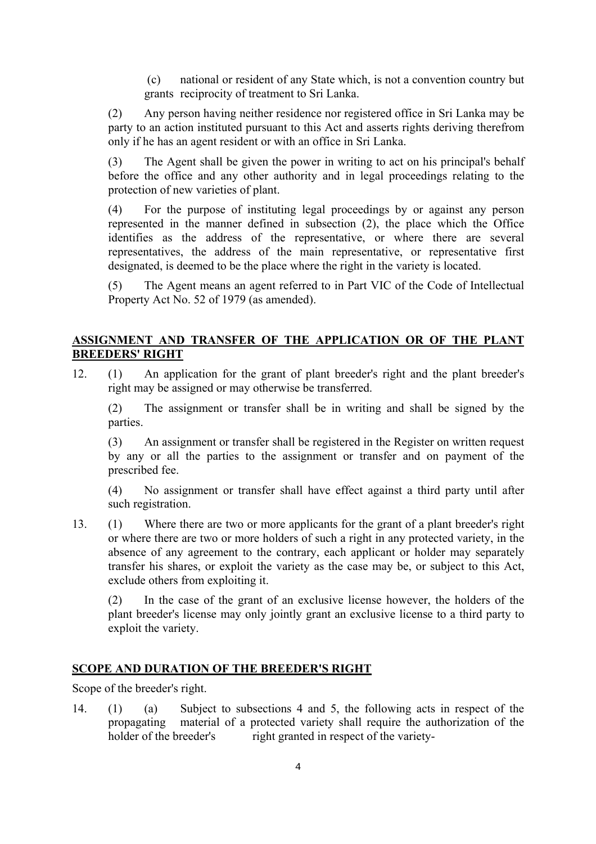(c) national or resident of any State which, is not a convention country but grants reciprocity of treatment to Sri Lanka.

(2) Any person having neither residence nor registered office in Sri Lanka may be party to an action instituted pursuant to this Act and asserts rights deriving therefrom only if he has an agent resident or with an office in Sri Lanka.

(3) The Agent shall be given the power in writing to act on his principal's behalf before the office and any other authority and in legal proceedings relating to the protection of new varieties of plant.

(4) For the purpose of instituting legal proceedings by or against any person represented in the manner defined in subsection (2), the place which the Office identifies as the address of the representative, or where there are several representatives, the address of the main representative, or representative first designated, is deemed to be the place where the right in the variety is located.

(5) The Agent means an agent referred to in Part VIC of the Code of Intellectual Property Act No. 52 of 1979 (as amended).

# **ASSIGNMENT AND TRANSFER OF THE APPLICATION OR OF THE PLANT BREEDERS' RIGHT**

12. (1) An application for the grant of plant breeder's right and the plant breeder's right may be assigned or may otherwise be transferred.

(2) The assignment or transfer shall be in writing and shall be signed by the parties.

(3) An assignment or transfer shall be registered in the Register on written request by any or all the parties to the assignment or transfer and on payment of the prescribed fee.

(4) No assignment or transfer shall have effect against a third party until after such registration.

13. (1) Where there are two or more applicants for the grant of a plant breeder's right or where there are two or more holders of such a right in any protected variety, in the absence of any agreement to the contrary, each applicant or holder may separately transfer his shares, or exploit the variety as the case may be, or subject to this Act, exclude others from exploiting it.

(2) In the case of the grant of an exclusive license however, the holders of the plant breeder's license may only jointly grant an exclusive license to a third party to exploit the variety.

#### **SCOPE AND DURATION OF THE BREEDER'S RIGHT**

Scope of the breeder's right.

14. (1) (a) Subject to subsections 4 and 5, the following acts in respect of the propagating material of a protected variety shall require the authorization of the holder of the breeder's right granted in respect of the variety-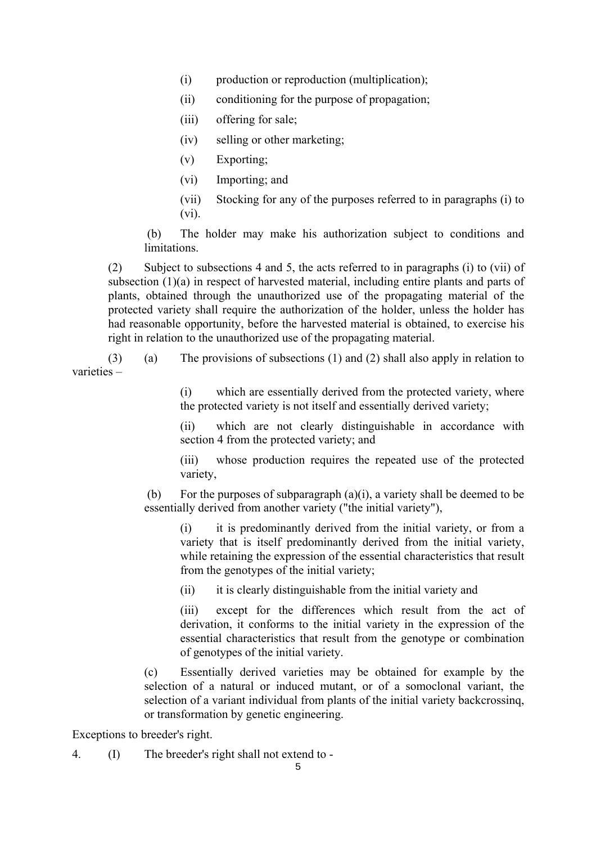- (i) production or reproduction (multiplication);
- (ii) conditioning for the purpose of propagation;
- (iii) offering for sale:
- (iv) selling or other marketing;
- (v) Exporting;
- (vi) Importing; and
- (vii) Stocking for any of the purposes referred to in paragraphs (i) to (vi).

 (b) The holder may make his authorization subject to conditions and limitations.

(2) Subject to subsections 4 and 5, the acts referred to in paragraphs (i) to (vii) of subsection (1)(a) in respect of harvested material, including entire plants and parts of plants, obtained through the unauthorized use of the propagating material of the protected variety shall require the authorization of the holder, unless the holder has had reasonable opportunity, before the harvested material is obtained, to exercise his right in relation to the unauthorized use of the propagating material.

 (3) (a) The provisions of subsections (1) and (2) shall also apply in relation to varieties –

> (i) which are essentially derived from the protected variety, where the protected variety is not itself and essentially derived variety;

> (ii) which are not clearly distinguishable in accordance with section 4 from the protected variety; and

> (iii) whose production requires the repeated use of the protected variety,

(b) For the purposes of subparagraph  $(a)(i)$ , a variety shall be deemed to be essentially derived from another variety ("the initial variety"),

(i) it is predominantly derived from the initial variety, or from a variety that is itself predominantly derived from the initial variety, while retaining the expression of the essential characteristics that result from the genotypes of the initial variety;

(ii) it is clearly distinguishable from the initial variety and

(iii) except for the differences which result from the act of derivation, it conforms to the initial variety in the expression of the essential characteristics that result from the genotype or combination of genotypes of the initial variety.

(c) Essentially derived varieties may be obtained for example by the selection of a natural or induced mutant, or of a somoclonal variant, the selection of a variant individual from plants of the initial variety backcrossinq, or transformation by genetic engineering.

Exceptions to breeder's right.

4. (I) The breeder's right shall not extend to -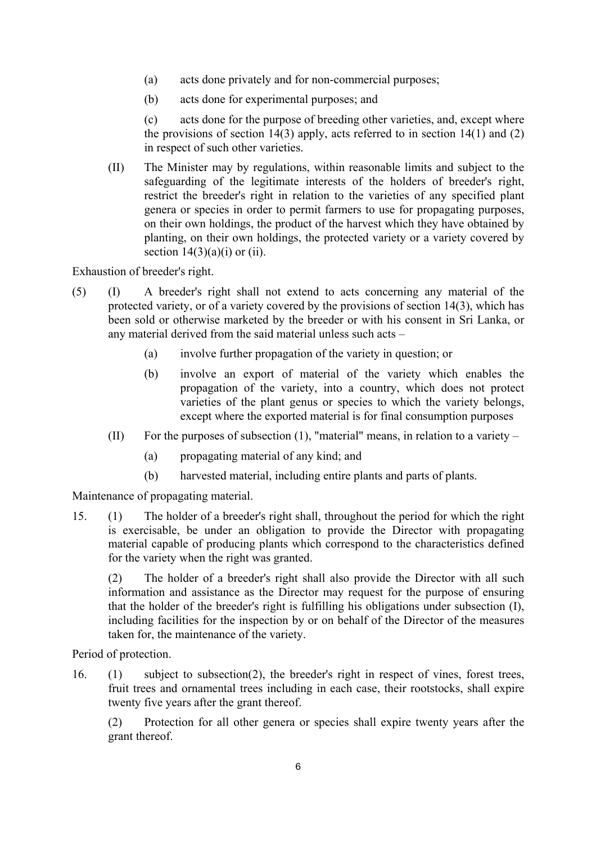- (a) acts done privately and for non-commercial purposes;
- (b) acts done for experimental purposes; and

 (c) acts done for the purpose of breeding other varieties, and, except where the provisions of section 14(3) apply, acts referred to in section 14(1) and (2) in respect of such other varieties.

(II) The Minister may by regulations, within reasonable limits and subject to the safeguarding of the legitimate interests of the holders of breeder's right, restrict the breeder's right in relation to the varieties of any specified plant genera or species in order to permit farmers to use for propagating purposes, on their own holdings, the product of the harvest which they have obtained by planting, on their own holdings, the protected variety or a variety covered by section  $14(3)(a)(i)$  or (ii).

Exhaustion of breeder's right.

- (5) (I) A breeder's right shall not extend to acts concerning any material of the protected variety, or of a variety covered by the provisions of section 14(3), which has been sold or otherwise marketed by the breeder or with his consent in Sri Lanka, or any material derived from the said material unless such acts –
	- (a) involve further propagation of the variety in question; or
	- (b) involve an export of material of the variety which enables the propagation of the variety, into a country, which does not protect varieties of the plant genus or species to which the variety belongs, except where the exported material is for final consumption purposes
	- (II) For the purposes of subsection (1), "material" means, in relation to a variety
		- (a) propagating material of any kind; and
		- (b) harvested material, including entire plants and parts of plants.

Maintenance of propagating material.

15. (1) The holder of a breeder's right shall, throughout the period for which the right is exercisable, be under an obligation to provide the Director with propagating material capable of producing plants which correspond to the characteristics defined for the variety when the right was granted.

(2) The holder of a breeder's right shall also provide the Director with all such information and assistance as the Director may request for the purpose of ensuring that the holder of the breeder's right is fulfilling his obligations under subsection (I), including facilities for the inspection by or on behalf of the Director of the measures taken for, the maintenance of the variety.

Period of protection.

16. (1) subject to subsection(2), the breeder's right in respect of vines, forest trees, fruit trees and ornamental trees including in each case, their rootstocks, shall expire twenty five years after the grant thereof.

(2) Protection for all other genera or species shall expire twenty years after the grant thereof.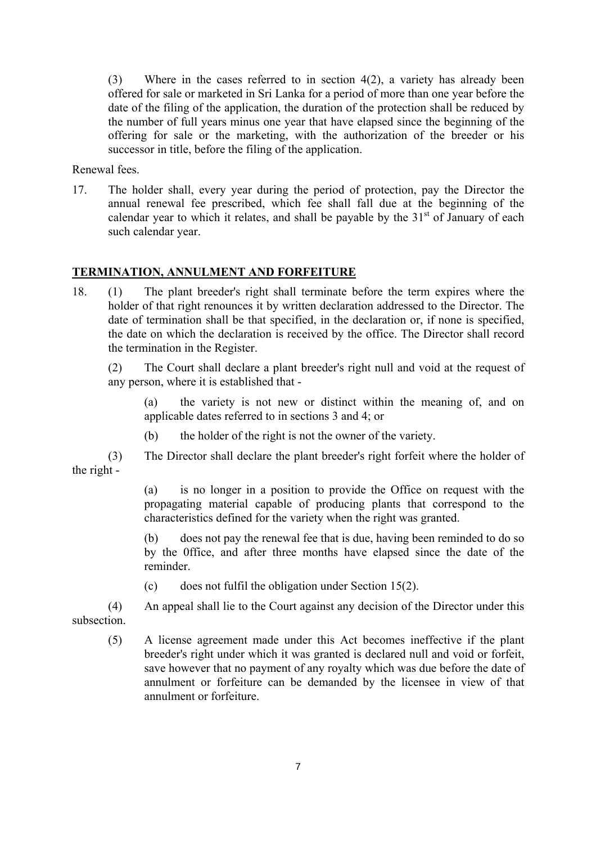(3) Where in the cases referred to in section 4(2), a variety has already been offered for sale or marketed in Sri Lanka for a period of more than one year before the date of the filing of the application, the duration of the protection shall be reduced by the number of full years minus one year that have elapsed since the beginning of the offering for sale or the marketing, with the authorization of the breeder or his successor in title, before the filing of the application.

Renewal fees.

17. The holder shall, every year during the period of protection, pay the Director the annual renewal fee prescribed, which fee shall fall due at the beginning of the calendar year to which it relates, and shall be payable by the  $31<sup>st</sup>$  of January of each such calendar year.

#### **TERMINATION, ANNULMENT AND FORFEITURE**

18. (1) The plant breeder's right shall terminate before the term expires where the holder of that right renounces it by written declaration addressed to the Director. The date of termination shall be that specified, in the declaration or, if none is specified, the date on which the declaration is received by the office. The Director shall record the termination in the Register.

(2) The Court shall declare a plant breeder's right null and void at the request of any person, where it is established that -

(a) the variety is not new or distinct within the meaning of, and on applicable dates referred to in sections 3 and 4; or

(b) the holder of the right is not the owner of the variety.

 (3) The Director shall declare the plant breeder's right forfeit where the holder of the right -

> (a) is no longer in a position to provide the Office on request with the propagating material capable of producing plants that correspond to the characteristics defined for the variety when the right was granted.

> (b) does not pay the renewal fee that is due, having been reminded to do so by the 0ffice, and after three months have elapsed since the date of the reminder.

(c) does not fulfil the obligation under Section 15(2).

 (4) An appeal shall lie to the Court against any decision of the Director under this subsection.

(5) A license agreement made under this Act becomes ineffective if the plant breeder's right under which it was granted is declared null and void or forfeit, save however that no payment of any royalty which was due before the date of annulment or forfeiture can be demanded by the licensee in view of that annulment or forfeiture.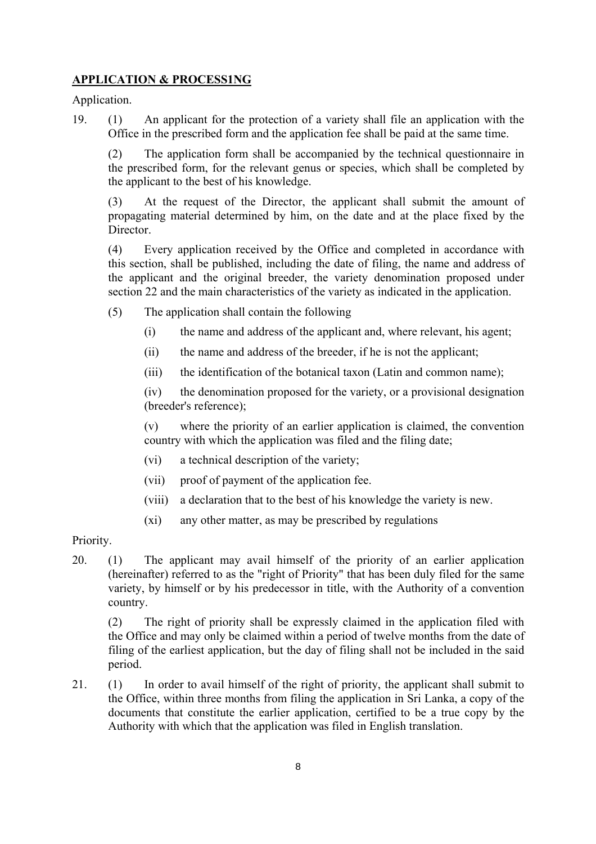# **APPLICATION & PROCESS1NG**

Application.

19. (1) An applicant for the protection of a variety shall file an application with the Office in the prescribed form and the application fee shall be paid at the same time.

(2) The application form shall be accompanied by the technical questionnaire in the prescribed form, for the relevant genus or species, which shall be completed by the applicant to the best of his knowledge.

(3) At the request of the Director, the applicant shall submit the amount of propagating material determined by him, on the date and at the place fixed by the Director.

(4) Every application received by the Office and completed in accordance with this section, shall be published, including the date of filing, the name and address of the applicant and the original breeder, the variety denomination proposed under section 22 and the main characteristics of the variety as indicated in the application.

- (5) The application shall contain the following
	- (i) the name and address of the applicant and, where relevant, his agent;
	- (ii) the name and address of the breeder, if he is not the applicant;
	- (iii) the identification of the botanical taxon (Latin and common name);

(iv) the denomination proposed for the variety, or a provisional designation (breeder's reference);

(v) where the priority of an earlier application is claimed, the convention country with which the application was filed and the filing date;

- (vi) a technical description of the variety;
- (vii) proof of payment of the application fee.
- (viii) a declaration that to the best of his knowledge the variety is new.
- (xi) any other matter, as may be prescribed by regulations

Priority.

20. (1) The applicant may avail himself of the priority of an earlier application (hereinafter) referred to as the "right of Priority" that has been duly filed for the same variety, by himself or by his predecessor in title, with the Authority of a convention country.

(2) The right of priority shall be expressly claimed in the application filed with the Office and may only be claimed within a period of twelve months from the date of filing of the earliest application, but the day of filing shall not be included in the said period.

21. (1) In order to avail himself of the right of priority, the applicant shall submit to the Office, within three months from filing the application in Sri Lanka, a copy of the documents that constitute the earlier application, certified to be a true copy by the Authority with which that the application was filed in English translation.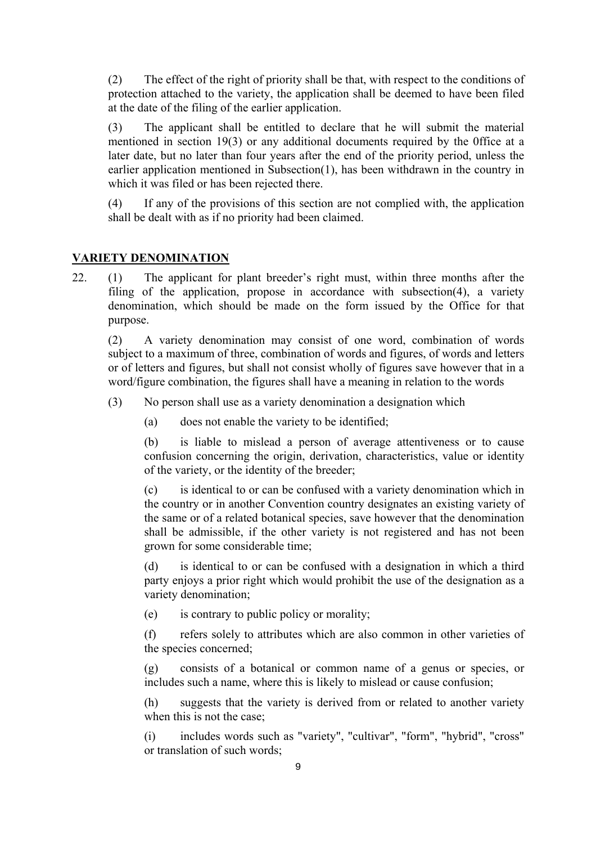(2) The effect of the right of priority shall be that, with respect to the conditions of protection attached to the variety, the application shall be deemed to have been filed at the date of the filing of the earlier application.

(3) The applicant shall be entitled to declare that he will submit the material mentioned in section 19(3) or any additional documents required by the 0ffice at a later date, but no later than four years after the end of the priority period, unless the earlier application mentioned in Subsection(1), has been withdrawn in the country in which it was filed or has been rejected there.

(4) If any of the provisions of this section are not complied with, the application shall be dealt with as if no priority had been claimed.

# **VARIETY DENOMINATION**

22. (1) The applicant for plant breeder's right must, within three months after the filing of the application, propose in accordance with subsection(4), a variety denomination, which should be made on the form issued by the Office for that purpose.

(2) A variety denomination may consist of one word, combination of words subject to a maximum of three, combination of words and figures, of words and letters or of letters and figures, but shall not consist wholly of figures save however that in a word/figure combination, the figures shall have a meaning in relation to the words

- (3) No person shall use as a variety denomination a designation which
	- (a) does not enable the variety to be identified;

(b) is liable to mislead a person of average attentiveness or to cause confusion concerning the origin, derivation, characteristics, value or identity of the variety, or the identity of the breeder;

(c) is identical to or can be confused with a variety denomination which in the country or in another Convention country designates an existing variety of the same or of a related botanical species, save however that the denomination shall be admissible, if the other variety is not registered and has not been grown for some considerable time;

(d) is identical to or can be confused with a designation in which a third party enjoys a prior right which would prohibit the use of the designation as a variety denomination;

(e) is contrary to public policy or morality;

(f) refers solely to attributes which are also common in other varieties of the species concerned;

(g) consists of a botanical or common name of a genus or species, or includes such a name, where this is likely to mislead or cause confusion;

(h) suggests that the variety is derived from or related to another variety when this is not the case;

(i) includes words such as "variety", "cultivar", "form", "hybrid", "cross" or translation of such words;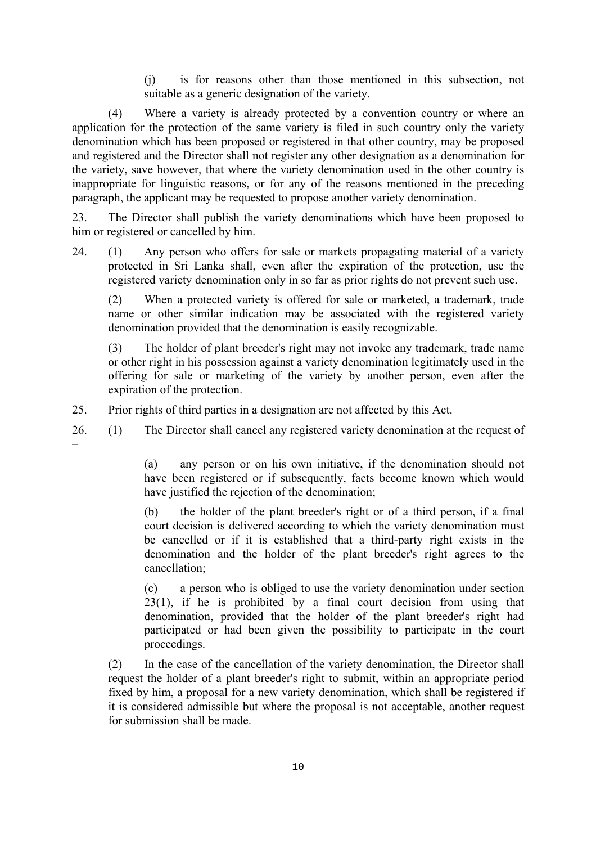(j) is for reasons other than those mentioned in this subsection, not suitable as a generic designation of the variety.

 (4) Where a variety is already protected by a convention country or where an application for the protection of the same variety is filed in such country only the variety denomination which has been proposed or registered in that other country, may be proposed and registered and the Director shall not register any other designation as a denomination for the variety, save however, that where the variety denomination used in the other country is inappropriate for linguistic reasons, or for any of the reasons mentioned in the preceding paragraph, the applicant may be requested to propose another variety denomination.

23. The Director shall publish the variety denominations which have been proposed to him or registered or cancelled by him.

24. (1) Any person who offers for sale or markets propagating material of a variety protected in Sri Lanka shall, even after the expiration of the protection, use the registered variety denomination only in so far as prior rights do not prevent such use.

(2) When a protected variety is offered for sale or marketed, a trademark, trade name or other similar indication may be associated with the registered variety denomination provided that the denomination is easily recognizable.

(3) The holder of plant breeder's right may not invoke any trademark, trade name or other right in his possession against a variety denomination legitimately used in the offering for sale or marketing of the variety by another person, even after the expiration of the protection.

25. Prior rights of third parties in a designation are not affected by this Act.

26. (1) The Director shall cancel any registered variety denomination at the request of –

> (a) any person or on his own initiative, if the denomination should not have been registered or if subsequently, facts become known which would have justified the rejection of the denomination;

> (b) the holder of the plant breeder's right or of a third person, if a final court decision is delivered according to which the variety denomination must be cancelled or if it is established that a third-party right exists in the denomination and the holder of the plant breeder's right agrees to the cancellation;

> (c) a person who is obliged to use the variety denomination under section  $23(1)$ , if he is prohibited by a final court decision from using that denomination, provided that the holder of the plant breeder's right had participated or had been given the possibility to participate in the court proceedings.

(2) In the case of the cancellation of the variety denomination, the Director shall request the holder of a plant breeder's right to submit, within an appropriate period fixed by him, a proposal for a new variety denomination, which shall be registered if it is considered admissible but where the proposal is not acceptable, another request for submission shall be made.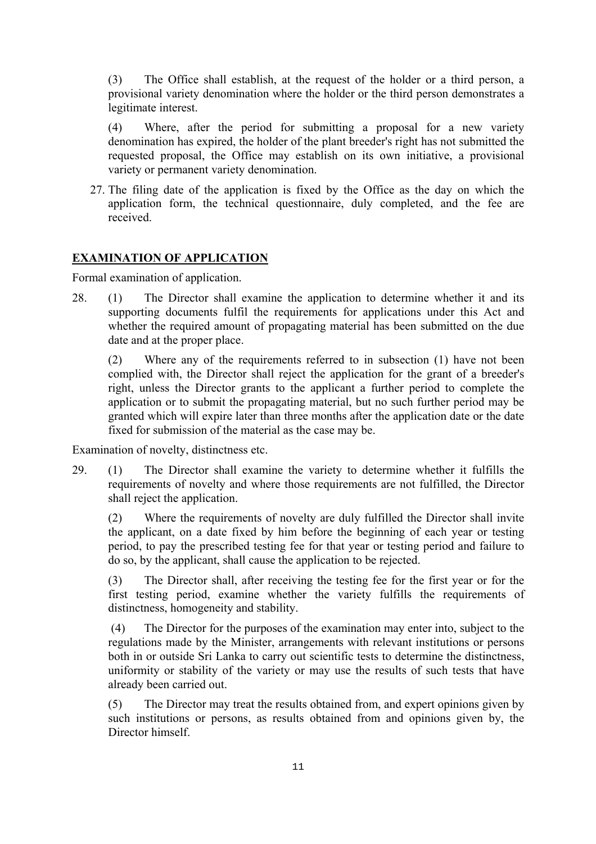(3) The Office shall establish, at the request of the holder or a third person, a provisional variety denomination where the holder or the third person demonstrates a legitimate interest.

(4) Where, after the period for submitting a proposal for a new variety denomination has expired, the holder of the plant breeder's right has not submitted the requested proposal, the Office may establish on its own initiative, a provisional variety or permanent variety denomination.

27. The filing date of the application is fixed by the Office as the day on which the application form, the technical questionnaire, duly completed, and the fee are received.

# **EXAMINATION OF APPLICATION**

Formal examination of application.

28. (1) The Director shall examine the application to determine whether it and its supporting documents fulfil the requirements for applications under this Act and whether the required amount of propagating material has been submitted on the due date and at the proper place.

(2) Where any of the requirements referred to in subsection (1) have not been complied with, the Director shall reject the application for the grant of a breeder's right, unless the Director grants to the applicant a further period to complete the application or to submit the propagating material, but no such further period may be granted which will expire later than three months after the application date or the date fixed for submission of the material as the case may be.

Examination of novelty, distinctness etc.

29. (1) The Director shall examine the variety to determine whether it fulfills the requirements of novelty and where those requirements are not fulfilled, the Director shall reject the application.

(2) Where the requirements of novelty are duly fulfilled the Director shall invite the applicant, on a date fixed by him before the beginning of each year or testing period, to pay the prescribed testing fee for that year or testing period and failure to do so, by the applicant, shall cause the application to be rejected.

(3) The Director shall, after receiving the testing fee for the first year or for the first testing period, examine whether the variety fulfills the requirements of distinctness, homogeneity and stability.

 (4) The Director for the purposes of the examination may enter into, subject to the regulations made by the Minister, arrangements with relevant institutions or persons both in or outside Sri Lanka to carry out scientific tests to determine the distinctness, uniformity or stability of the variety or may use the results of such tests that have already been carried out.

(5) The Director may treat the results obtained from, and expert opinions given by such institutions or persons, as results obtained from and opinions given by, the Director himself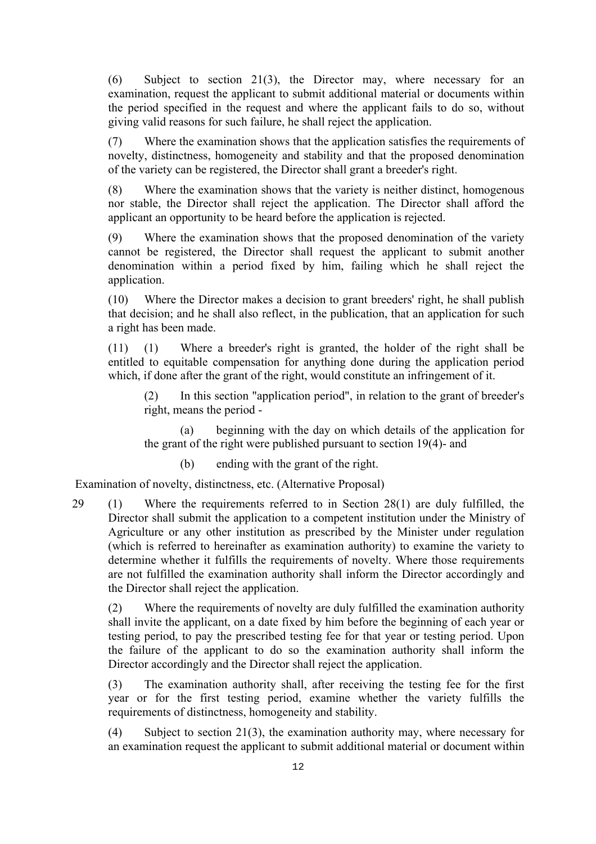(6) Subject to section 21(3), the Director may, where necessary for an examination, request the applicant to submit additional material or documents within the period specified in the request and where the applicant fails to do so, without giving valid reasons for such failure, he shall reject the application.

(7) Where the examination shows that the application satisfies the requirements of novelty, distinctness, homogeneity and stability and that the proposed denomination of the variety can be registered, the Director shall grant a breeder's right.

(8) Where the examination shows that the variety is neither distinct, homogenous nor stable, the Director shall reject the application. The Director shall afford the applicant an opportunity to be heard before the application is rejected.

(9) Where the examination shows that the proposed denomination of the variety cannot be registered, the Director shall request the applicant to submit another denomination within a period fixed by him, failing which he shall reject the application.

(10) Where the Director makes a decision to grant breeders' right, he shall publish that decision; and he shall also reflect, in the publication, that an application for such a right has been made.

(11) (1) Where a breeder's right is granted, the holder of the right shall be entitled to equitable compensation for anything done during the application period which, if done after the grant of the right, would constitute an infringement of it.

(2) In this section "application period", in relation to the grant of breeder's right, means the period -

 (a) beginning with the day on which details of the application for the grant of the right were published pursuant to section 19(4)- and

(b) ending with the grant of the right.

Examination of novelty, distinctness, etc. (Alternative Proposal)

29 (1) Where the requirements referred to in Section 28(1) are duly fulfilled, the Director shall submit the application to a competent institution under the Ministry of Agriculture or any other institution as prescribed by the Minister under regulation (which is referred to hereinafter as examination authority) to examine the variety to determine whether it fulfills the requirements of novelty. Where those requirements are not fulfilled the examination authority shall inform the Director accordingly and the Director shall reject the application.

 (2) Where the requirements of novelty are duly fulfilled the examination authority shall invite the applicant, on a date fixed by him before the beginning of each year or testing period, to pay the prescribed testing fee for that year or testing period. Upon the failure of the applicant to do so the examination authority shall inform the Director accordingly and the Director shall reject the application.

(3) The examination authority shall, after receiving the testing fee for the first year or for the first testing period, examine whether the variety fulfills the requirements of distinctness, homogeneity and stability.

(4) Subject to section 21(3), the examination authority may, where necessary for an examination request the applicant to submit additional material or document within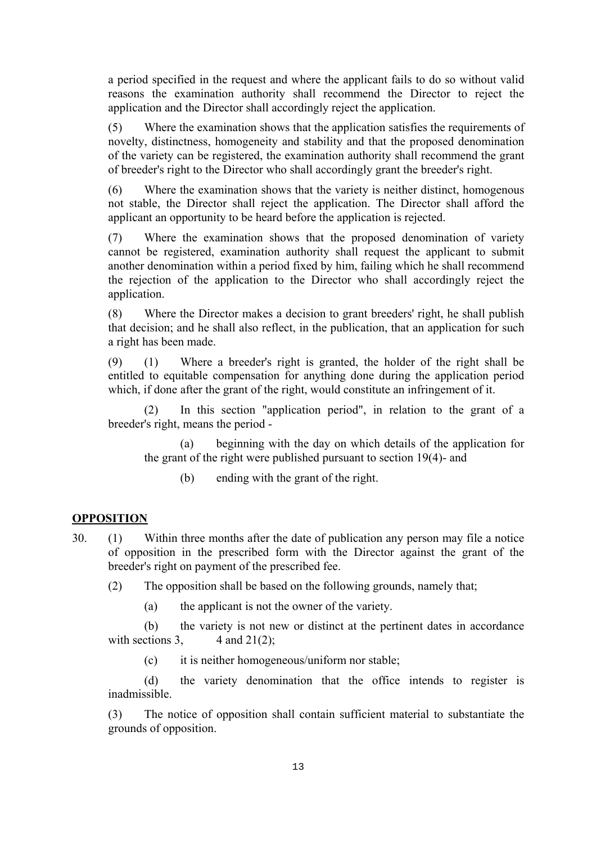a period specified in the request and where the applicant fails to do so without valid reasons the examination authority shall recommend the Director to reject the application and the Director shall accordingly reject the application.

(5) Where the examination shows that the application satisfies the requirements of novelty, distinctness, homogeneity and stability and that the proposed denomination of the variety can be registered, the examination authority shall recommend the grant of breeder's right to the Director who shall accordingly grant the breeder's right.

(6) Where the examination shows that the variety is neither distinct, homogenous not stable, the Director shall reject the application. The Director shall afford the applicant an opportunity to be heard before the application is rejected.

(7) Where the examination shows that the proposed denomination of variety cannot be registered, examination authority shall request the applicant to submit another denomination within a period fixed by him, failing which he shall recommend the rejection of the application to the Director who shall accordingly reject the application.

(8) Where the Director makes a decision to grant breeders' right, he shall publish that decision; and he shall also reflect, in the publication, that an application for such a right has been made.

(9) (1) Where a breeder's right is granted, the holder of the right shall be entitled to equitable compensation for anything done during the application period which, if done after the grant of the right, would constitute an infringement of it.

 (2) In this section "application period", in relation to the grant of a breeder's right, means the period -

 (a) beginning with the day on which details of the application for the grant of the right were published pursuant to section 19(4)- and

(b) ending with the grant of the right.

#### **OPPOSITION**

- 30. (1) Within three months after the date of publication any person may file a notice of opposition in the prescribed form with the Director against the grant of the breeder's right on payment of the prescribed fee.
	- (2) The opposition shall be based on the following grounds, namely that;
		- (a) the applicant is not the owner of the variety.

 (b) the variety is not new or distinct at the pertinent dates in accordance with sections 3,  $4$  and 21(2);

(c) it is neither homogeneous/uniform nor stable;

 (d) the variety denomination that the office intends to register is inadmissible.

(3) The notice of opposition shall contain sufficient material to substantiate the grounds of opposition.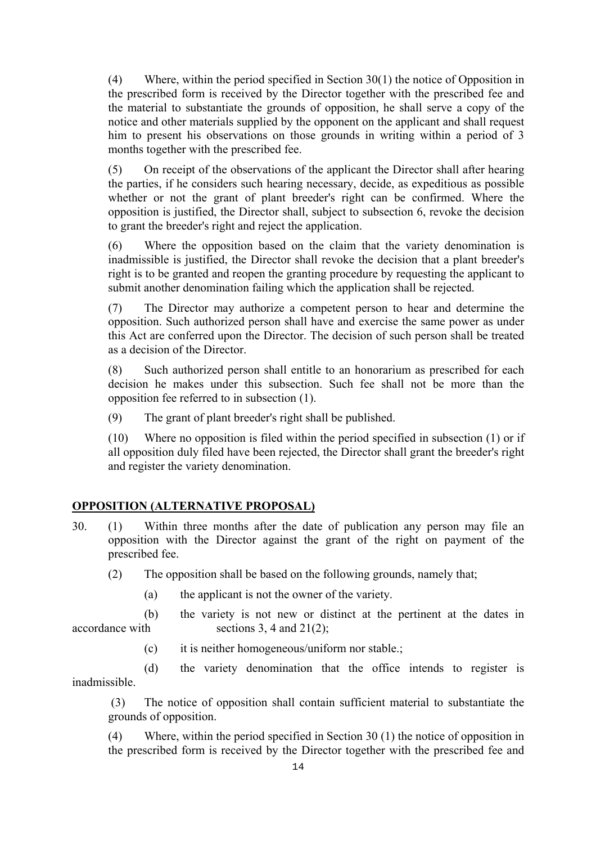(4) Where, within the period specified in Section 30(1) the notice of Opposition in the prescribed form is received by the Director together with the prescribed fee and the material to substantiate the grounds of opposition, he shall serve a copy of the notice and other materials supplied by the opponent on the applicant and shall request him to present his observations on those grounds in writing within a period of 3 months together with the prescribed fee.

(5) On receipt of the observations of the applicant the Director shall after hearing the parties, if he considers such hearing necessary, decide, as expeditious as possible whether or not the grant of plant breeder's right can be confirmed. Where the opposition is justified, the Director shall, subject to subsection 6, revoke the decision to grant the breeder's right and reject the application.

(6) Where the opposition based on the claim that the variety denomination is inadmissible is justified, the Director shall revoke the decision that a plant breeder's right is to be granted and reopen the granting procedure by requesting the applicant to submit another denomination failing which the application shall be rejected.

(7) The Director may authorize a competent person to hear and determine the opposition. Such authorized person shall have and exercise the same power as under this Act are conferred upon the Director. The decision of such person shall be treated as a decision of the Director.

(8) Such authorized person shall entitle to an honorarium as prescribed for each decision he makes under this subsection. Such fee shall not be more than the opposition fee referred to in subsection (1).

(9) The grant of plant breeder's right shall be published.

(10) Where no opposition is filed within the period specified in subsection (1) or if all opposition duly filed have been rejected, the Director shall grant the breeder's right and register the variety denomination.

# **OPPOSITION (ALTERNATIVE PROPOSAL)**

- 30. (1) Within three months after the date of publication any person may file an opposition with the Director against the grant of the right on payment of the prescribed fee.
	- (2) The opposition shall be based on the following grounds, namely that;
		- (a) the applicant is not the owner of the variety.
- (b) the variety is not new or distinct at the pertinent at the dates in  $\alpha$  accordance with sections 3, 4 and 21(2);
	- (c) it is neither homogeneous/uniform nor stable.;

 (d) the variety denomination that the office intends to register is inadmissible.

 (3) The notice of opposition shall contain sufficient material to substantiate the grounds of opposition.

(4) Where, within the period specified in Section 30 (1) the notice of opposition in the prescribed form is received by the Director together with the prescribed fee and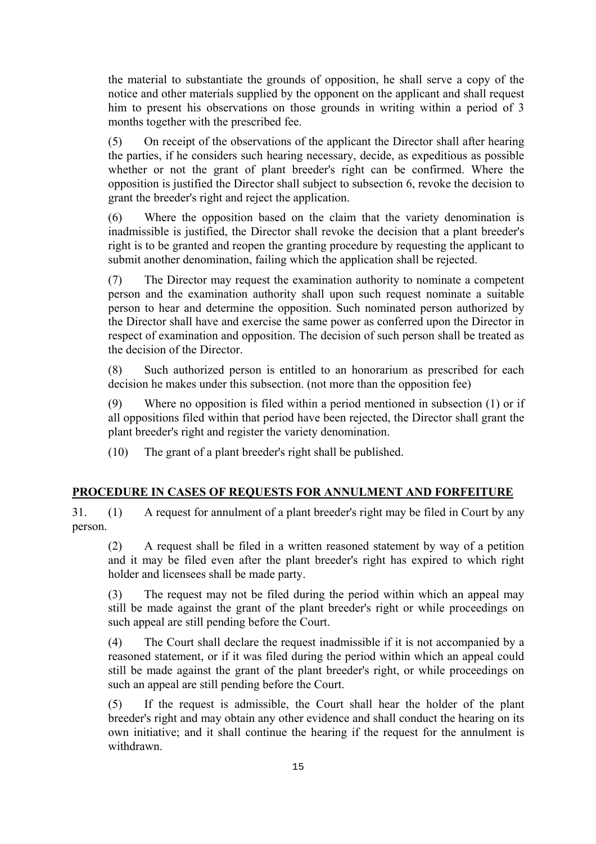the material to substantiate the grounds of opposition, he shall serve a copy of the notice and other materials supplied by the opponent on the applicant and shall request him to present his observations on those grounds in writing within a period of 3 months together with the prescribed fee.

(5) On receipt of the observations of the applicant the Director shall after hearing the parties, if he considers such hearing necessary, decide, as expeditious as possible whether or not the grant of plant breeder's right can be confirmed. Where the opposition is justified the Director shall subject to subsection 6, revoke the decision to grant the breeder's right and reject the application.

(6) Where the opposition based on the claim that the variety denomination is inadmissible is justified, the Director shall revoke the decision that a plant breeder's right is to be granted and reopen the granting procedure by requesting the applicant to submit another denomination, failing which the application shall be rejected.

(7) The Director may request the examination authority to nominate a competent person and the examination authority shall upon such request nominate a suitable person to hear and determine the opposition. Such nominated person authorized by the Director shall have and exercise the same power as conferred upon the Director in respect of examination and opposition. The decision of such person shall be treated as the decision of the Director.

(8) Such authorized person is entitled to an honorarium as prescribed for each decision he makes under this subsection. (not more than the opposition fee)

(9) Where no opposition is filed within a period mentioned in subsection (1) or if all oppositions filed within that period have been rejected, the Director shall grant the plant breeder's right and register the variety denomination.

(10) The grant of a plant breeder's right shall be published.

# **PROCEDURE IN CASES OF REQUESTS FOR ANNULMENT AND FORFEITURE**

31. (1) A request for annulment of a plant breeder's right may be filed in Court by any person.

(2) A request shall be filed in a written reasoned statement by way of a petition and it may be filed even after the plant breeder's right has expired to which right holder and licensees shall be made party.

(3) The request may not be filed during the period within which an appeal may still be made against the grant of the plant breeder's right or while proceedings on such appeal are still pending before the Court.

(4) The Court shall declare the request inadmissible if it is not accompanied by a reasoned statement, or if it was filed during the period within which an appeal could still be made against the grant of the plant breeder's right, or while proceedings on such an appeal are still pending before the Court.

(5) If the request is admissible, the Court shall hear the holder of the plant breeder's right and may obtain any other evidence and shall conduct the hearing on its own initiative; and it shall continue the hearing if the request for the annulment is withdrawn.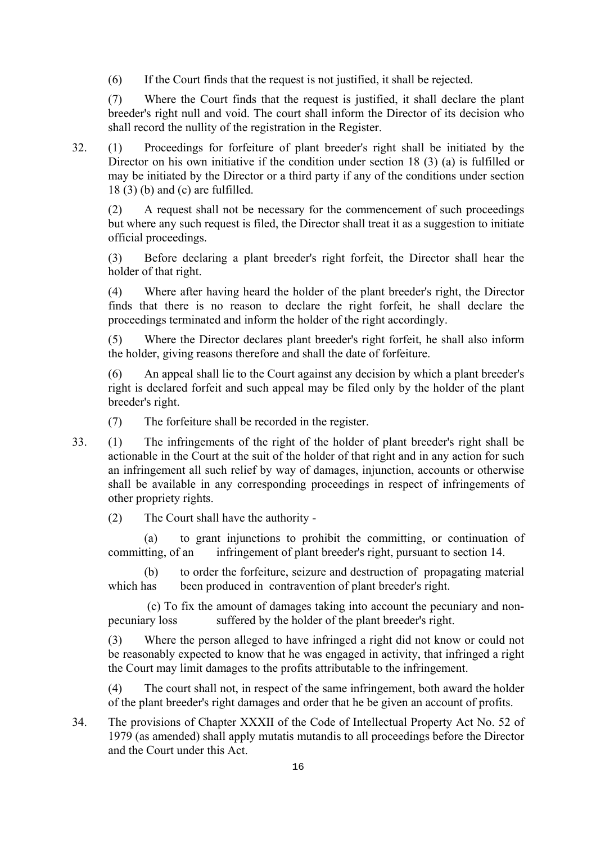(6) If the Court finds that the request is not justified, it shall be rejected.

(7) Where the Court finds that the request is justified, it shall declare the plant breeder's right null and void. The court shall inform the Director of its decision who shall record the nullity of the registration in the Register.

32. (1) Proceedings for forfeiture of plant breeder's right shall be initiated by the Director on his own initiative if the condition under section 18 (3) (a) is fulfilled or may be initiated by the Director or a third party if any of the conditions under section 18 (3) (b) and (c) are fulfilled.

(2) A request shall not be necessary for the commencement of such proceedings but where any such request is filed, the Director shall treat it as a suggestion to initiate official proceedings.

(3) Before declaring a plant breeder's right forfeit, the Director shall hear the holder of that right.

(4) Where after having heard the holder of the plant breeder's right, the Director finds that there is no reason to declare the right forfeit, he shall declare the proceedings terminated and inform the holder of the right accordingly.

(5) Where the Director declares plant breeder's right forfeit, he shall also inform the holder, giving reasons therefore and shall the date of forfeiture.

An appeal shall lie to the Court against any decision by which a plant breeder's right is declared forfeit and such appeal may be filed only by the holder of the plant breeder's right.

- (7) The forfeiture shall be recorded in the register.
- 33. (1) The infringements of the right of the holder of plant breeder's right shall be actionable in the Court at the suit of the holder of that right and in any action for such an infringement all such relief by way of damages, injunction, accounts or otherwise shall be available in any corresponding proceedings in respect of infringements of other propriety rights.

(2) The Court shall have the authority -

 (a) to grant injunctions to prohibit the committing, or continuation of committing, of an infringement of plant breeder's right, pursuant to section 14.

 (b) to order the forfeiture, seizure and destruction of propagating material which has been produced in contravention of plant breeder's right.

 (c) To fix the amount of damages taking into account the pecuniary and nonpecuniary loss suffered by the holder of the plant breeder's right.

(3) Where the person alleged to have infringed a right did not know or could not be reasonably expected to know that he was engaged in activity, that infringed a right the Court may limit damages to the profits attributable to the infringement.

(4) The court shall not, in respect of the same infringement, both award the holder of the plant breeder's right damages and order that he be given an account of profits.

34. The provisions of Chapter XXXII of the Code of Intellectual Property Act No. 52 of 1979 (as amended) shall apply mutatis mutandis to all proceedings before the Director and the Court under this Act.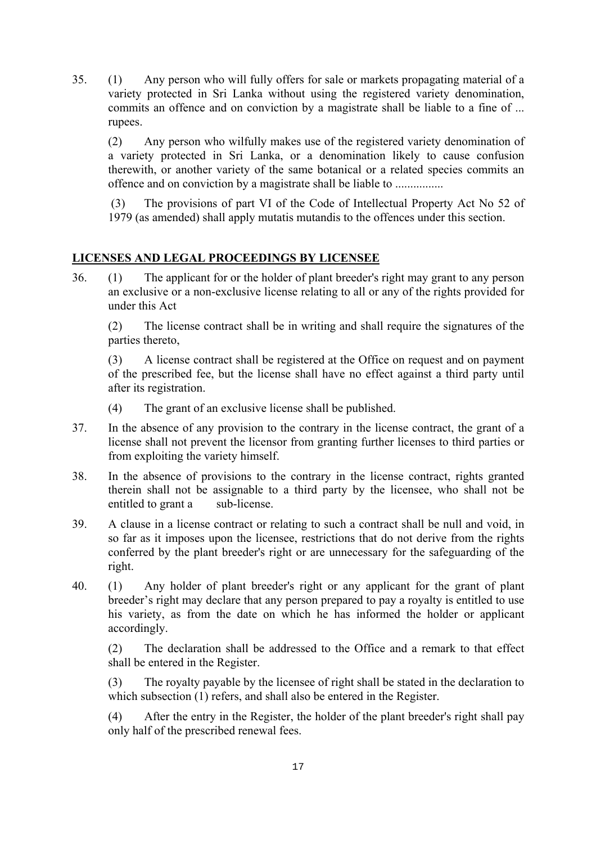35. (1) Any person who will fully offers for sale or markets propagating material of a variety protected in Sri Lanka without using the registered variety denomination, commits an offence and on conviction by a magistrate shall be liable to a fine of ... rupees.

(2) Any person who wilfully makes use of the registered variety denomination of a variety protected in Sri Lanka, or a denomination likely to cause confusion therewith, or another variety of the same botanical or a related species commits an offence and on conviction by a magistrate shall be liable to ................

 (3) The provisions of part VI of the Code of Intellectual Property Act No 52 of 1979 (as amended) shall apply mutatis mutandis to the offences under this section.

# **LICENSES AND LEGAL PROCEEDINGS BY LICENSEE**

36. (1) The applicant for or the holder of plant breeder's right may grant to any person an exclusive or a non-exclusive license relating to all or any of the rights provided for under this Act

(2) The license contract shall be in writing and shall require the signatures of the parties thereto,

(3) A license contract shall be registered at the Office on request and on payment of the prescribed fee, but the license shall have no effect against a third party until after its registration.

- (4) The grant of an exclusive license shall be published.
- 37. In the absence of any provision to the contrary in the license contract, the grant of a license shall not prevent the licensor from granting further licenses to third parties or from exploiting the variety himself.
- 38. In the absence of provisions to the contrary in the license contract, rights granted therein shall not be assignable to a third party by the licensee, who shall not be entitled to grant a sub-license.
- 39. A clause in a license contract or relating to such a contract shall be null and void, in so far as it imposes upon the licensee, restrictions that do not derive from the rights conferred by the plant breeder's right or are unnecessary for the safeguarding of the right.
- 40. (1) Any holder of plant breeder's right or any applicant for the grant of plant breeder's right may declare that any person prepared to pay a royalty is entitled to use his variety, as from the date on which he has informed the holder or applicant accordingly.

(2) The declaration shall be addressed to the Office and a remark to that effect shall be entered in the Register.

(3) The royalty payable by the licensee of right shall be stated in the declaration to which subsection (1) refers, and shall also be entered in the Register.

(4) After the entry in the Register, the holder of the plant breeder's right shall pay only half of the prescribed renewal fees.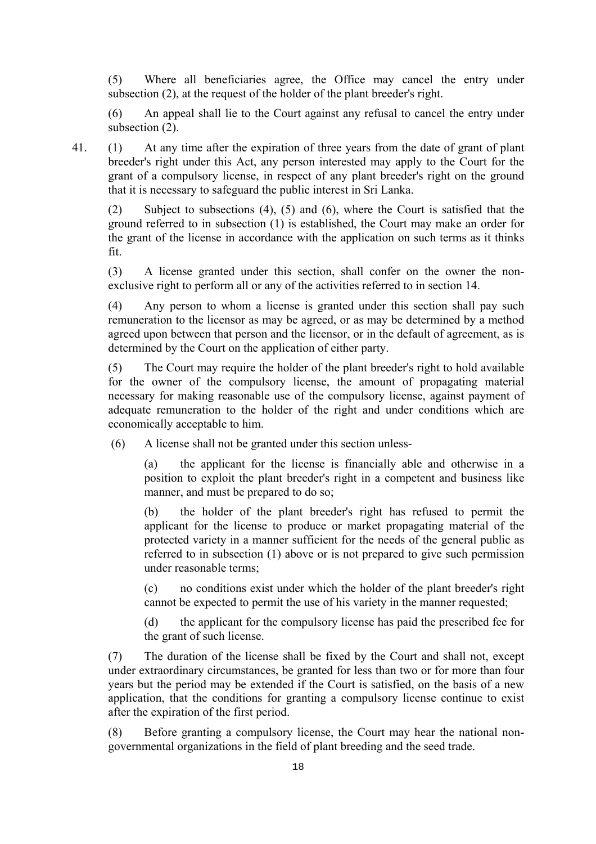(5) Where all beneficiaries agree, the Office may cancel the entry under subsection (2), at the request of the holder of the plant breeder's right.

(6) An appeal shall lie to the Court against any refusal to cancel the entry under subsection (2).

41. (1) At any time after the expiration of three years from the date of grant of plant breeder's right under this Act, any person interested may apply to the Court for the grant of a compulsory license, in respect of any plant breeder's right on the ground that it is necessary to safeguard the public interest in Sri Lanka.

(2) Subject to subsections (4), (5) and (6), where the Court is satisfied that the ground referred to in subsection (1) is established, the Court may make an order for the grant of the license in accordance with the application on such terms as it thinks fit.

(3) A license granted under this section, shall confer on the owner the nonexclusive right to perform all or any of the activities referred to in section 14.

(4) Any person to whom a license is granted under this section shall pay such remuneration to the licensor as may be agreed, or as may be determined by a method agreed upon between that person and the licensor, or in the default of agreement, as is determined by the Court on the application of either party.

(5) The Court may require the holder of the plant breeder's right to hold available for the owner of the compulsory license, the amount of propagating material necessary for making reasonable use of the compulsory license, against payment of adequate remuneration to the holder of the right and under conditions which are economically acceptable to him.

(6) A license shall not be granted under this section unless-

the applicant for the license is financially able and otherwise in a position to exploit the plant breeder's right in a competent and business like manner, and must be prepared to do so;

(b) the holder of the plant breeder's right has refused to permit the applicant for the license to produce or market propagating material of the protected variety in a manner sufficient for the needs of the general public as referred to in subsection (1) above or is not prepared to give such permission under reasonable terms;

(c) no conditions exist under which the holder of the plant breeder's right cannot be expected to permit the use of his variety in the manner requested;

(d) the applicant for the compulsory license has paid the prescribed fee for the grant of such license.

(7) The duration of the license shall be fixed by the Court and shall not, except under extraordinary circumstances, be granted for less than two or for more than four years but the period may be extended if the Court is satisfied, on the basis of a new application, that the conditions for granting a compulsory license continue to exist after the expiration of the first period.

(8) Before granting a compulsory license, the Court may hear the national nongovernmental organizations in the field of plant breeding and the seed trade.